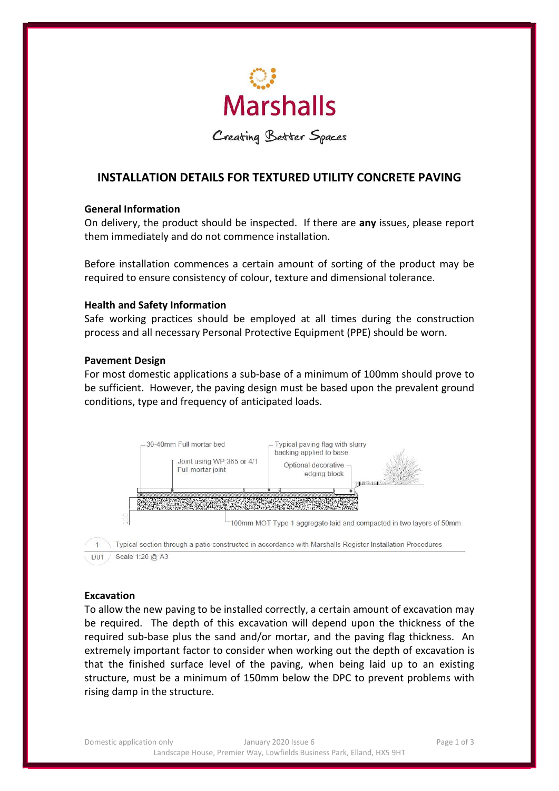

Creating Better Spaces

# INSTALLATION DETAILS FOR TEXTURED UTILITY CONCRETE PAVING

#### General Information

On delivery, the product should be inspected. If there are any issues, please report them immediately and do not commence installation.

Before installation commences a certain amount of sorting of the product may be required to ensure consistency of colour, texture and dimensional tolerance.

#### Health and Safety Information

Safe working practices should be employed at all times during the construction process and all necessary Personal Protective Equipment (PPE) should be worn.

#### Pavement Design

For most domestic applications a sub-base of a minimum of 100mm should prove to be sufficient. However, the paving design must be based upon the prevalent ground conditions, type and frequency of anticipated loads.



#### Excavation

To allow the new paving to be installed correctly, a certain amount of excavation may be required. The depth of this excavation will depend upon the thickness of the required sub-base plus the sand and/or mortar, and the paving flag thickness. An extremely important factor to consider when working out the depth of excavation is that the finished surface level of the paving, when being laid up to an existing structure, must be a minimum of 150mm below the DPC to prevent problems with rising damp in the structure.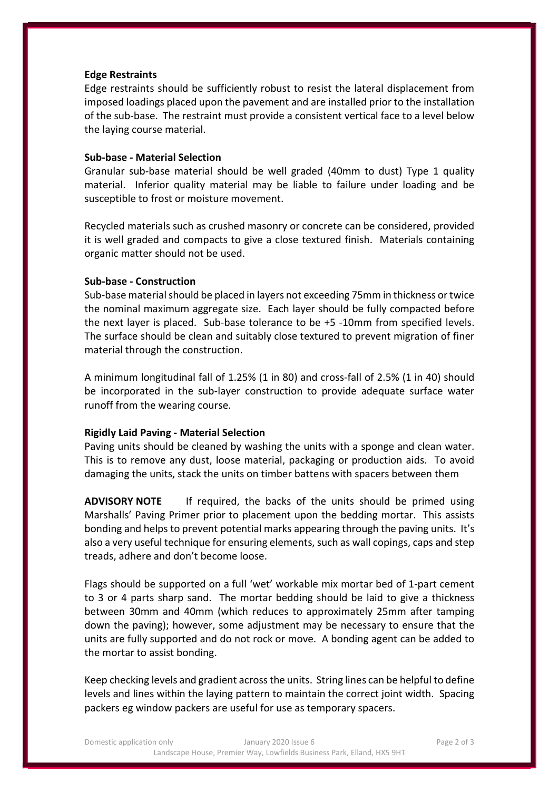#### Edge Restraints

Edge restraints should be sufficiently robust to resist the lateral displacement from imposed loadings placed upon the pavement and are installed prior to the installation of the sub-base. The restraint must provide a consistent vertical face to a level below the laying course material.

#### Sub-base - Material Selection

Granular sub-base material should be well graded (40mm to dust) Type 1 quality material. Inferior quality material may be liable to failure under loading and be susceptible to frost or moisture movement.

Recycled materials such as crushed masonry or concrete can be considered, provided it is well graded and compacts to give a close textured finish. Materials containing organic matter should not be used.

#### Sub-base - Construction

Sub-base material should be placed in layers not exceeding 75mm in thickness or twice the nominal maximum aggregate size. Each layer should be fully compacted before the next layer is placed. Sub-base tolerance to be +5 -10mm from specified levels. The surface should be clean and suitably close textured to prevent migration of finer material through the construction.

A minimum longitudinal fall of 1.25% (1 in 80) and cross-fall of 2.5% (1 in 40) should be incorporated in the sub-layer construction to provide adequate surface water runoff from the wearing course.

## Rigidly Laid Paving - Material Selection

Paving units should be cleaned by washing the units with a sponge and clean water. This is to remove any dust, loose material, packaging or production aids. To avoid damaging the units, stack the units on timber battens with spacers between them

ADVISORY NOTE If required, the backs of the units should be primed using Marshalls' Paving Primer prior to placement upon the bedding mortar. This assists bonding and helps to prevent potential marks appearing through the paving units. It's also a very useful technique for ensuring elements, such as wall copings, caps and step treads, adhere and don't become loose.

Flags should be supported on a full 'wet' workable mix mortar bed of 1-part cement to 3 or 4 parts sharp sand. The mortar bedding should be laid to give a thickness between 30mm and 40mm (which reduces to approximately 25mm after tamping down the paving); however, some adjustment may be necessary to ensure that the units are fully supported and do not rock or move. A bonding agent can be added to the mortar to assist bonding.

Keep checking levels and gradient across the units. String lines can be helpful to define levels and lines within the laying pattern to maintain the correct joint width. Spacing packers eg window packers are useful for use as temporary spacers.